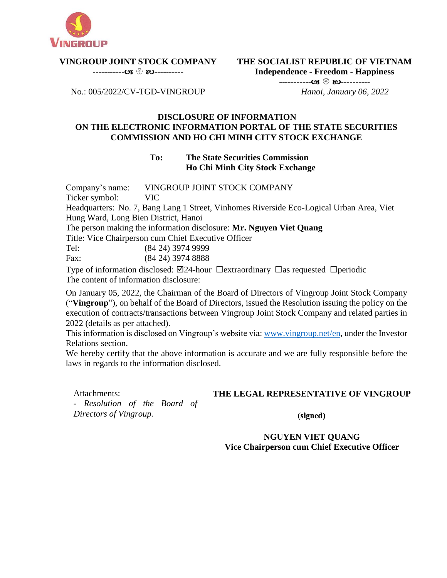

# **VINGROUP JOINT STOCK COMPANY**

----------- ----------

**THE SOCIALIST REPUBLIC OF VIETNAM Independence - Freedom - Happiness** ----------- ----------  *Hanoi, January 06, 2022*

No.: 005/2022/CV-TGD-VINGROUP

#### **DISCLOSURE OF INFORMATION ON THE ELECTRONIC INFORMATION PORTAL OF THE STATE SECURITIES COMMISSION AND HO CHI MINH CITY STOCK EXCHANGE**

## **To: The State Securities Commission Ho Chi Minh City Stock Exchange**

Company's name: VINGROUP JOINT STOCK COMPANY

Ticker symbol: VIC

Headquarters: No. 7, Bang Lang 1 Street, Vinhomes Riverside Eco-Logical Urban Area, Viet Hung Ward, Long Bien District, Hanoi

The person making the information disclosure: **Mr. Nguyen Viet Quang**

Title: Vice Chairperson cum Chief Executive Officer

Tel: (84 24) 3974 9999

Fax: (84 24) 3974 8888

Type of information disclosed:  $\boxtimes$ 24-hour  $\Box$ extraordinary  $\Box$ as requested  $\Box$ periodic The content of information disclosure:

On January 05, 2022, the Chairman of the Board of Directors of Vingroup Joint Stock Company ("**Vingroup**"), on behalf of the Board of Directors, issued the Resolution issuing the policy on the execution of contracts/transactions between Vingroup Joint Stock Company and related parties in 2022 (details as per attached).

This information is disclosed on Vingroup's website via[: www.vingroup.net/en,](https://www.vingroup.net/en) under the Investor Relations section.

We hereby certify that the above information is accurate and we are fully responsible before the laws in regards to the information disclosed.

Attachments:

## **THE LEGAL REPRESENTATIVE OF VINGROUP**

- *Resolution of the Board of Directors of Vingroup.*

(signed)

**NGUYEN VIET QUANG Vice Chairperson cum Chief Executive Officer**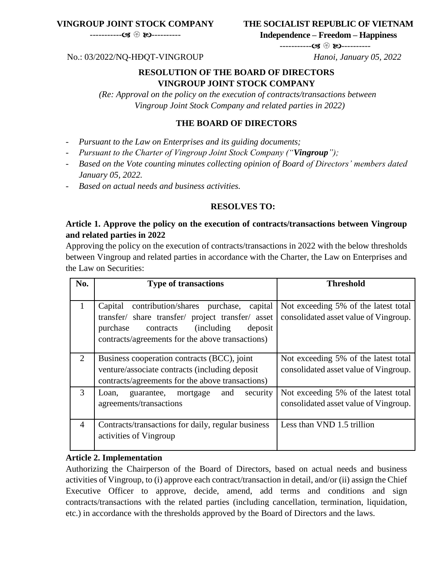## **VINGROUP JOINT STOCK COMPANY**

## **THE SOCIALIST REPUBLIC OF VIETNAM**

----------- ----------

**Independence – Freedom – Happiness**

----------- ----------

#### No.: 03/2022/NQ-HĐQT-VINGROUP *Hanoi, January 05, 2022*

#### **RESOLUTION OF THE BOARD OF DIRECTORS VINGROUP JOINT STOCK COMPANY**

*(Re: Approval on the policy on the execution of contracts/transactions between Vingroup Joint Stock Company and related parties in 2022)*

#### **THE BOARD OF DIRECTORS**

- *Pursuant to the Law on Enterprises and its guiding documents;*
- *Pursuant to the Charter of Vingroup Joint Stock Company ("Vingroup");*
- *Based on the Vote counting minutes collecting opinion of Board of Directors' members dated January 05, 2022.*
- *Based on actual needs and business activities.*

#### **RESOLVES TO:**

## **Article 1. Approve the policy on the execution of contracts/transactions between Vingroup and related parties in 2022**

Approving the policy on the execution of contracts/transactions in 2022 with the below thresholds between Vingroup and related parties in accordance with the Charter, the Law on Enterprises and the Law on Securities:

| No.            | <b>Type of transactions</b>                                                                                                                                                                                            | <b>Threshold</b>                                                              |
|----------------|------------------------------------------------------------------------------------------------------------------------------------------------------------------------------------------------------------------------|-------------------------------------------------------------------------------|
|                | contribution/shares purchase,<br>Capital<br>capital<br>transfer/ share transfer/ project transfer/ asset<br>contracts<br><i>(including)</i><br>purchase<br>deposit<br>contracts/agreements for the above transactions) | Not exceeding 5% of the latest total<br>consolidated asset value of Vingroup. |
| 2              | Business cooperation contracts (BCC), joint<br>venture/associate contracts (including deposit)<br>contracts/agreements for the above transactions)                                                                     | Not exceeding 5% of the latest total<br>consolidated asset value of Vingroup. |
| 3              | security<br>guarantee,<br>mortgage<br>and<br>Loan,<br>agreements/transactions                                                                                                                                          | Not exceeding 5% of the latest total<br>consolidated asset value of Vingroup. |
| $\overline{A}$ | Contracts/transactions for daily, regular business<br>activities of Vingroup                                                                                                                                           | Less than VND 1.5 trillion                                                    |

#### **Article 2. Implementation**

Authorizing the Chairperson of the Board of Directors, based on actual needs and business activities of Vingroup, to (i) approve each contract/transaction in detail, and/or (ii) assign the Chief Executive Officer to approve, decide, amend, add terms and conditions and sign contracts/transactions with the related parties (including cancellation, termination, liquidation, etc.) in accordance with the thresholds approved by the Board of Directors and the laws.